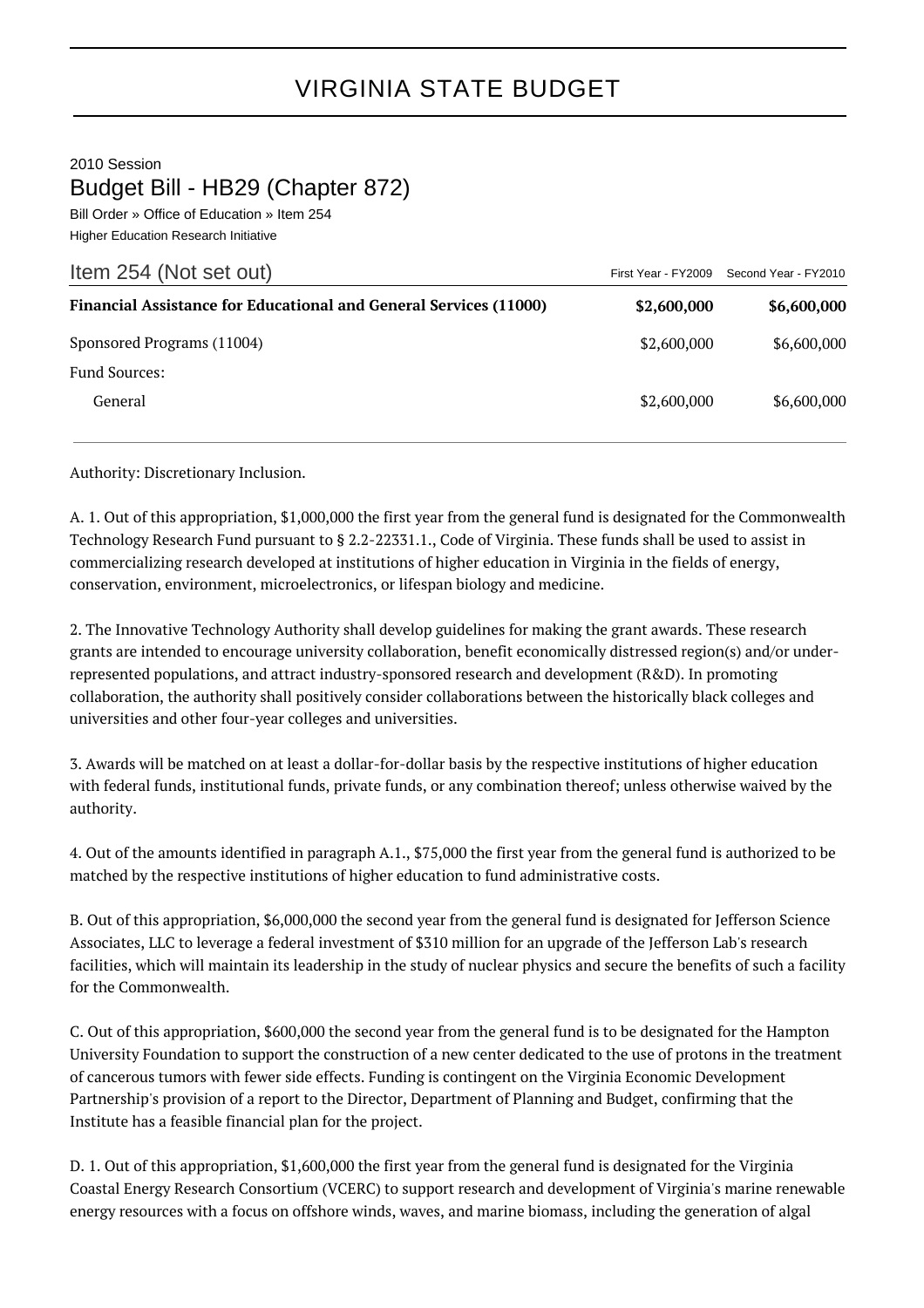## VIRGINIA STATE BUDGET

2010 Session Budget Bill - HB29 (Chapter 872)

Bill Order » Office of Education » Item 254 Higher Education Research Initiative

| Item 254 (Not set out)                                                   | First Year - FY2009 | Second Year - FY2010 |
|--------------------------------------------------------------------------|---------------------|----------------------|
| <b>Financial Assistance for Educational and General Services (11000)</b> | \$2,600,000         | \$6,600,000          |
| Sponsored Programs (11004)                                               | \$2,600,000         | \$6,600,000          |
| Fund Sources:                                                            |                     |                      |
| General                                                                  | \$2,600,000         | \$6,600,000          |

Authority: Discretionary Inclusion.

A. 1. Out of this appropriation, \$1,000,000 the first year from the general fund is designated for the Commonwealth Technology Research Fund pursuant to § 2.2-22331.1., Code of Virginia. These funds shall be used to assist in commercializing research developed at institutions of higher education in Virginia in the fields of energy, conservation, environment, microelectronics, or lifespan biology and medicine.

2. The Innovative Technology Authority shall develop guidelines for making the grant awards. These research grants are intended to encourage university collaboration, benefit economically distressed region(s) and/or underrepresented populations, and attract industry-sponsored research and development (R&D). In promoting collaboration, the authority shall positively consider collaborations between the historically black colleges and universities and other four-year colleges and universities.

3. Awards will be matched on at least a dollar-for-dollar basis by the respective institutions of higher education with federal funds, institutional funds, private funds, or any combination thereof; unless otherwise waived by the authority.

4. Out of the amounts identified in paragraph A.1., \$75,000 the first year from the general fund is authorized to be matched by the respective institutions of higher education to fund administrative costs.

B. Out of this appropriation, \$6,000,000 the second year from the general fund is designated for Jefferson Science Associates, LLC to leverage a federal investment of \$310 million for an upgrade of the Jefferson Lab's research facilities, which will maintain its leadership in the study of nuclear physics and secure the benefits of such a facility for the Commonwealth.

C. Out of this appropriation, \$600,000 the second year from the general fund is to be designated for the Hampton University Foundation to support the construction of a new center dedicated to the use of protons in the treatment of cancerous tumors with fewer side effects. Funding is contingent on the Virginia Economic Development Partnership's provision of a report to the Director, Department of Planning and Budget, confirming that the Institute has a feasible financial plan for the project.

D. 1. Out of this appropriation, \$1,600,000 the first year from the general fund is designated for the Virginia Coastal Energy Research Consortium (VCERC) to support research and development of Virginia's marine renewable energy resources with a focus on offshore winds, waves, and marine biomass, including the generation of algal